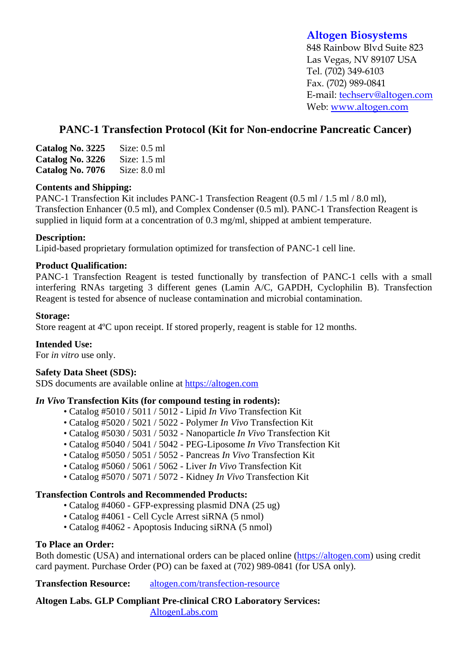## **Altogen Biosystems**

848 Rainbow Blvd Suite 823 Las Vegas, NV 89107 USA Tel. (702) 349-6103 Fax. (702) 989-0841 E-mail: techserv@altogen.com Web: www.altogen.com

# **PANC-1 Transfection Protocol (Kit for Non-endocrine Pancreatic Cancer)**

| Catalog No. 3225 | Size: $0.5$ ml |
|------------------|----------------|
| Catalog No. 3226 | Size: $1.5$ ml |
| Catalog No. 7076 | Size: $8.0$ ml |

#### **Contents and Shipping:**

PANC-1 Transfection Kit includes PANC-1 Transfection Reagent (0.5 ml / 1.5 ml / 8.0 ml), Transfection Enhancer (0.5 ml), and Complex Condenser (0.5 ml). PANC-1 Transfection Reagent is supplied in liquid form at a concentration of 0.3 mg/ml, shipped at ambient temperature.

### **Description:**

Lipid-based proprietary formulation optimized for transfection of PANC-1 cell line.

### **Product Qualification:**

PANC-1 Transfection Reagent is tested functionally by transfection of PANC-1 cells with a small interfering RNAs targeting 3 different genes (Lamin A/C, GAPDH, Cyclophilin B). Transfection Reagent is tested for absence of nuclease contamination and microbial contamination.

### **Storage:**

Store reagent at 4ºC upon receipt. If stored properly, reagent is stable for 12 months.

### **Intended Use:**

For *in vitro* use only.

#### **Safety Data Sheet (SDS):**

SDS documents are available online at https://altogen.com

#### *In Vivo* **Transfection Kits (for compound testing in rodents):**

- Catalog #5010 / 5011 / 5012 Lipid *In Vivo* Transfection Kit
- Catalog #5020 / 5021 / 5022 Polymer *In Vivo* Transfection Kit
- Catalog #5030 / 5031 / 5032 Nanoparticle *In Vivo* Transfection Kit
- Catalog #5040 / 5041 / 5042 PEG-Liposome *In Vivo* Transfection Kit
- Catalog #5050 / 5051 / 5052 Pancreas *In Vivo* Transfection Kit
- Catalog #5060 / 5061 / 5062 Liver *In Vivo* Transfection Kit
- Catalog #5070 / 5071 / 5072 Kidney *In Vivo* Transfection Kit

#### **Transfection Controls and Recommended Products:**

- Catalog #4060 GFP-expressing plasmid DNA (25 ug)
- Catalog #4061 Cell Cycle Arrest siRNA (5 nmol)
- Catalog #4062 Apoptosis Inducing siRNA (5 nmol)

#### **To Place an Order:**

Both domestic (USA) and international orders can be placed online (https://altogen.com) using credit card payment. Purchase Order (PO) can be faxed at (702) 989-0841 (for USA only).

**Transfection Resource:** altogen.com/transfection-resource

**Altogen Labs. GLP Compliant Pre-clinical CRO Laboratory Services:**  AltogenLabs.com